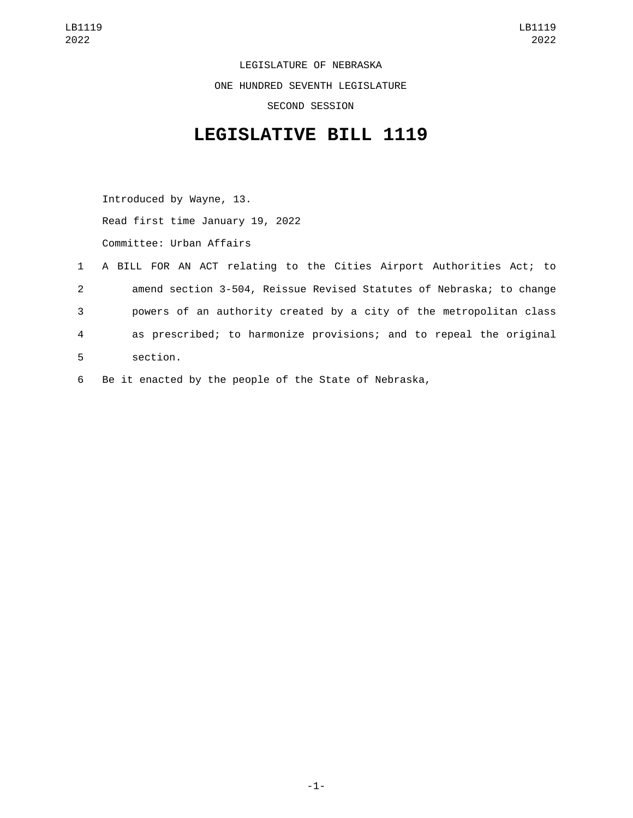LEGISLATURE OF NEBRASKA ONE HUNDRED SEVENTH LEGISLATURE SECOND SESSION

## **LEGISLATIVE BILL 1119**

Introduced by Wayne, 13. Read first time January 19, 2022 Committee: Urban Affairs

|              | 1 A BILL FOR AN ACT relating to the Cities Airport Authorities Act; to |
|--------------|------------------------------------------------------------------------|
| $\mathbf{2}$ | amend section 3-504, Reissue Revised Statutes of Nebraska; to change   |
| 3            | powers of an authority created by a city of the metropolitan class     |
| 4            | as prescribed; to harmonize provisions; and to repeal the original     |
| 5            | section.                                                               |

6 Be it enacted by the people of the State of Nebraska,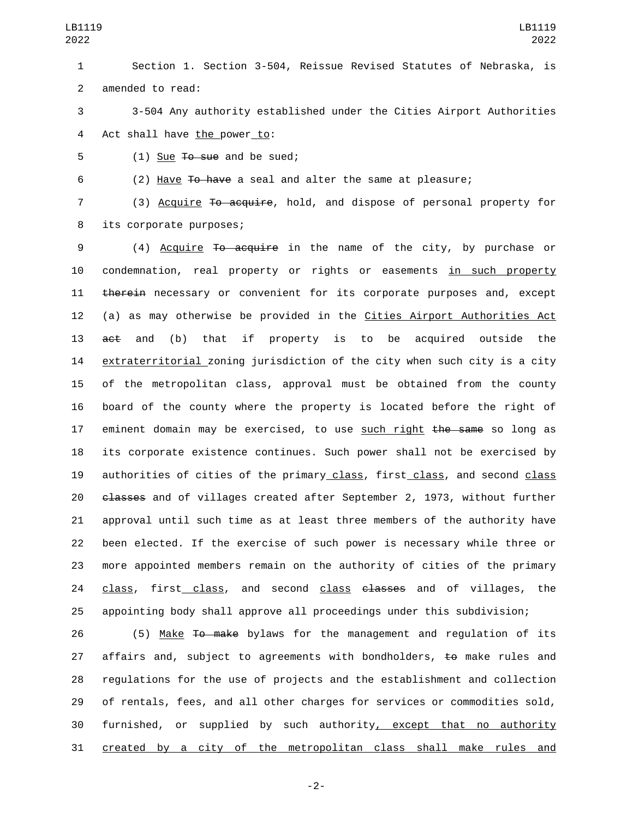1 Section 1. Section 3-504, Reissue Revised Statutes of Nebraska, is 2 amended to read:

3 3-504 Any authority established under the Cities Airport Authorities 4 Act shall have the power to:

 $5$  (1) Sue  $\overline{10}$  sue and be sued;

6 (2) Have To have a seal and alter the same at pleasure;

7 (3) Acquire To acquire, hold, and dispose of personal property for 8 its corporate purposes;

 (4) Acquire To acquire in the name of the city, by purchase or condemnation, real property or rights or easements in such property 11 therein necessary or convenient for its corporate purposes and, except (a) as may otherwise be provided in the Cities Airport Authorities Act 13 act and (b) that if property is to be acquired outside the extraterritorial zoning jurisdiction of the city when such city is a city of the metropolitan class, approval must be obtained from the county board of the county where the property is located before the right of 17 eminent domain may be exercised, to use such right the same so long as its corporate existence continues. Such power shall not be exercised by 19 authorities of cities of the primary class, first class, and second class 20 <del>classes</del> and of villages created after September 2, 1973, without further approval until such time as at least three members of the authority have been elected. If the exercise of such power is necessary while three or more appointed members remain on the authority of cities of the primary 24 class, first class, and second class elasses and of villages, the appointing body shall approve all proceedings under this subdivision;

 (5) Make To make bylaws for the management and regulation of its 27 affairs and, subject to agreements with bondholders, to make rules and regulations for the use of projects and the establishment and collection of rentals, fees, and all other charges for services or commodities sold, 30 furnished, or supplied by such authority, except that no authority created by a city of the metropolitan class shall make rules and

-2-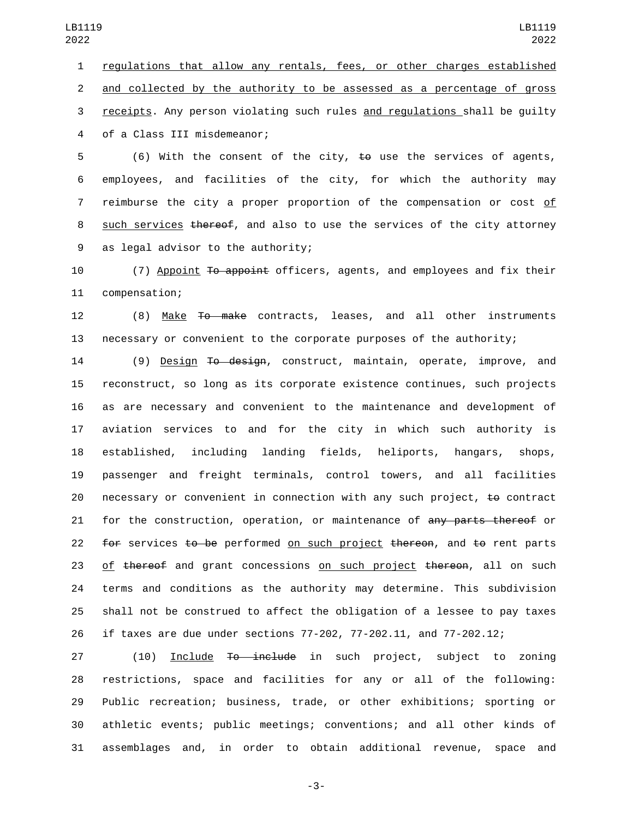regulations that allow any rentals, fees, or other charges established and collected by the authority to be assessed as a percentage of gross receipts. Any person violating such rules and regulations shall be guilty 4 of a Class III misdemeanor;

 (6) With the consent of the city, to use the services of agents, employees, and facilities of the city, for which the authority may reimburse the city a proper proportion of the compensation or cost of 8 such services thereof, and also to use the services of the city attorney 9 as legal advisor to the authority;

10 (7) Appoint To appoint officers, agents, and employees and fix their 11 compensation;

 (8) Make To make contracts, leases, and all other instruments necessary or convenient to the corporate purposes of the authority;

14 (9) Design <del>To design</del>, construct, maintain, operate, improve, and reconstruct, so long as its corporate existence continues, such projects as are necessary and convenient to the maintenance and development of aviation services to and for the city in which such authority is established, including landing fields, heliports, hangars, shops, passenger and freight terminals, control towers, and all facilities 20 necessary or convenient in connection with any such project,  $\pm \theta$  contract 21 for the construction, operation, or maintenance of any parts thereof or 22 for services to be performed on such project thereon, and to rent parts 23 of thereof and grant concessions on such project thereon, all on such terms and conditions as the authority may determine. This subdivision shall not be construed to affect the obligation of a lessee to pay taxes if taxes are due under sections 77-202, 77-202.11, and 77-202.12;

27 (10) Include <del>To include</del> in such project, subject to zoning restrictions, space and facilities for any or all of the following: Public recreation; business, trade, or other exhibitions; sporting or athletic events; public meetings; conventions; and all other kinds of assemblages and, in order to obtain additional revenue, space and

-3-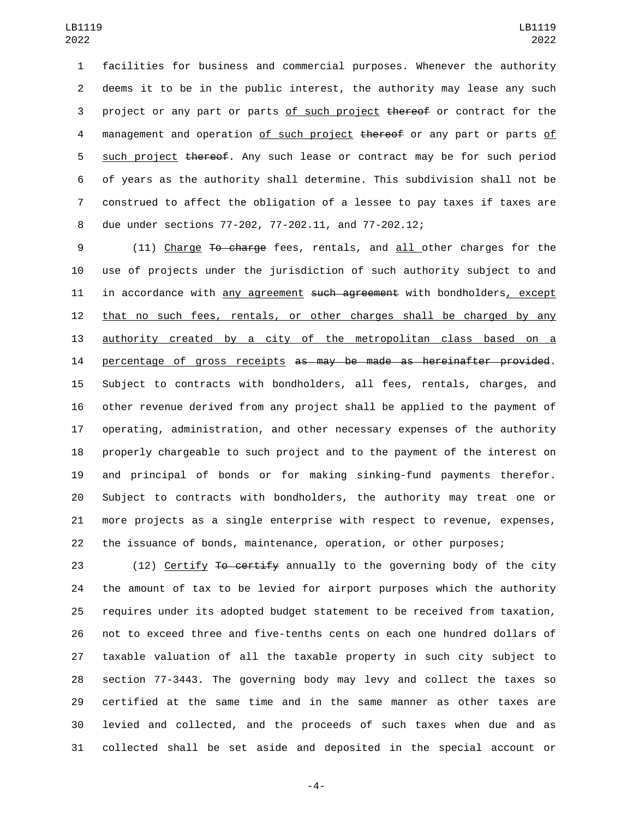facilities for business and commercial purposes. Whenever the authority deems it to be in the public interest, the authority may lease any such 3 project or any part or parts of such project thereof or contract for the 4 management and operation of such project thereof or any part or parts of 5 such project thereof. Any such lease or contract may be for such period of years as the authority shall determine. This subdivision shall not be construed to affect the obligation of a lessee to pay taxes if taxes are due under sections 77-202, 77-202.11, and 77-202.12;

9 (11) Charge To charge fees, rentals, and all other charges for the use of projects under the jurisdiction of such authority subject to and 11 in accordance with any agreement such agreement with bondholders, except that no such fees, rentals, or other charges shall be charged by any authority created by a city of the metropolitan class based on a 14 percentage of gross receipts as may be made as hereinafter provided. Subject to contracts with bondholders, all fees, rentals, charges, and other revenue derived from any project shall be applied to the payment of operating, administration, and other necessary expenses of the authority properly chargeable to such project and to the payment of the interest on and principal of bonds or for making sinking-fund payments therefor. Subject to contracts with bondholders, the authority may treat one or more projects as a single enterprise with respect to revenue, expenses, the issuance of bonds, maintenance, operation, or other purposes;

23 (12) Certify To certify annually to the governing body of the city the amount of tax to be levied for airport purposes which the authority requires under its adopted budget statement to be received from taxation, not to exceed three and five-tenths cents on each one hundred dollars of taxable valuation of all the taxable property in such city subject to section 77-3443. The governing body may levy and collect the taxes so certified at the same time and in the same manner as other taxes are levied and collected, and the proceeds of such taxes when due and as collected shall be set aside and deposited in the special account or

-4-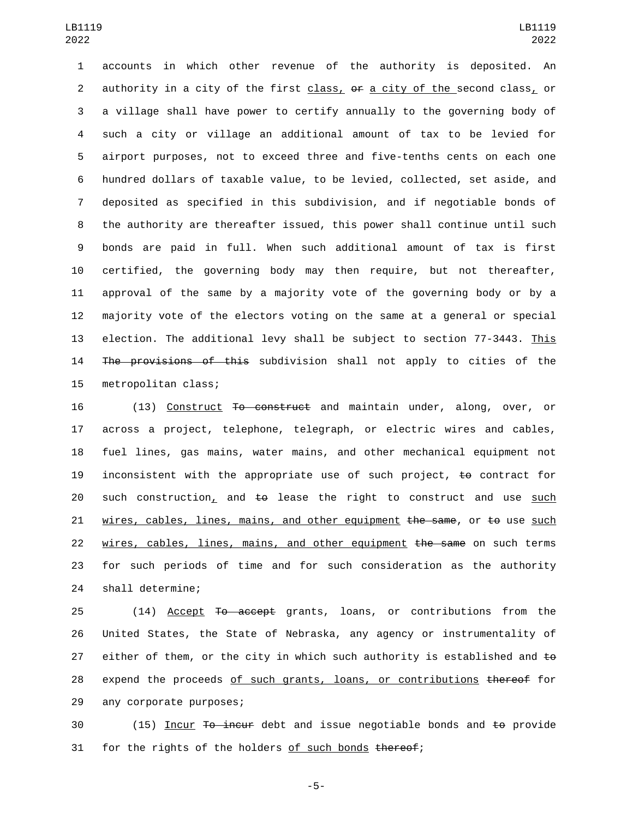accounts in which other revenue of the authority is deposited. An authority in a city of the first class, or a city of the second class, or a village shall have power to certify annually to the governing body of such a city or village an additional amount of tax to be levied for airport purposes, not to exceed three and five-tenths cents on each one hundred dollars of taxable value, to be levied, collected, set aside, and deposited as specified in this subdivision, and if negotiable bonds of the authority are thereafter issued, this power shall continue until such bonds are paid in full. When such additional amount of tax is first certified, the governing body may then require, but not thereafter, approval of the same by a majority vote of the governing body or by a majority vote of the electors voting on the same at a general or special election. The additional levy shall be subject to section 77-3443. This The provisions of this subdivision shall not apply to cities of the 15 metropolitan class;

16 (13) Construct To construct and maintain under, along, over, or 17 across a project, telephone, telegraph, or electric wires and cables, 18 fuel lines, gas mains, water mains, and other mechanical equipment not 19 inconsistent with the appropriate use of such project,  $t_{\theta}$  contract for 20 such construction, and  $\pm\Theta$  lease the right to construct and use such 21 wires, cables, lines, mains, and other equipment  $t$ he same, or  $t<sub>9</sub>$  use such 22 wires, cables, lines, mains, and other equipment the same on such terms 23 for such periods of time and for such consideration as the authority 24 shall determine;

25 (14) Accept To accept grants, loans, or contributions from the 26 United States, the State of Nebraska, any agency or instrumentality of 27 either of them, or the city in which such authority is established and  $\pm \omega$ 28 expend the proceeds of such grants, loans, or contributions thereof for 29 any corporate purposes;

30 (15) Incur T<del>o incur</del> debt and issue negotiable bonds and to provide 31 for the rights of the holders of such bonds thereof;

-5-